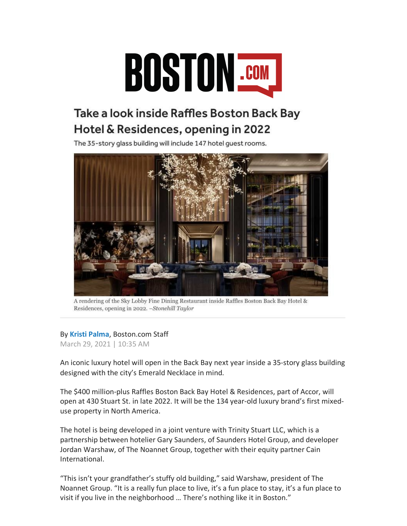

## Take a look inside Raffles Boston Back Bay Hotel & Residences, opening in 2022

The 35-story glass building will include 147 hotel quest rooms.



A rendering of the Sky Lobby Fine Dining Restaurant inside Raffles Boston Back Bay Hotel & Residences, opening in 2022. - Stonehill Taylor

## By **Kristi Palma**, Boston.com Staff

March 29, 2021 | 10:35 AM

An iconic luxury hotel will open in the Back Bay next year inside a 35-story glass building designed with the city's Emerald Necklace in mind.

The \$400 million-plus Raffles Boston Back Bay Hotel & Residences, part of Accor, will open at 430 Stuart St. in late 2022. It will be the 134 year-old luxury brand's first mixeduse property in North America.

The hotel is being developed in a joint venture with Trinity Stuart LLC, which is a partnership between hotelier Gary Saunders, of Saunders Hotel Group, and developer Jordan Warshaw, of The Noannet Group, together with their equity partner Cain International.

"This isn't your grandfather's stuffy old building," said Warshaw, president of The Noannet Group. "It is a really fun place to live, it's a fun place to stay, it's a fun place to visit if you live in the neighborhood … There's nothing like it in Boston."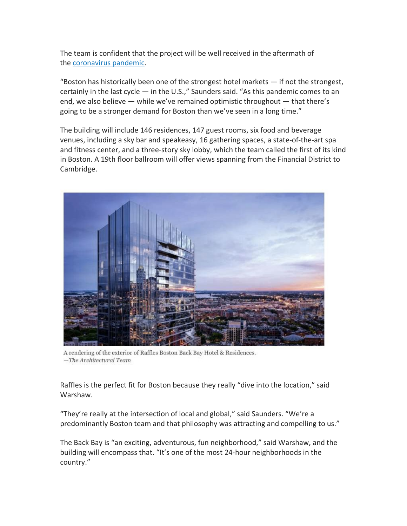The team is confident that the project will be well received in the aftermath of the coronavirus pandemic.

"Boston has historically been one of the strongest hotel markets  $-$  if not the strongest, certainly in the last cycle — in the U.S.," Saunders said. "As this pandemic comes to an end, we also believe — while we've remained optimistic throughout — that there's going to be a stronger demand for Boston than we've seen in a long time."

The building will include 146 residences, 147 guest rooms, six food and beverage venues, including a sky bar and speakeasy, 16 gathering spaces, a state-of-the-art spa and fitness center, and a three-story sky lobby, which the team called the first of its kind in Boston. A 19th floor ballroom will offer views spanning from the Financial District to Cambridge.



A rendering of the exterior of Raffles Boston Back Bay Hotel & Residences. -The Architectural Team

Raffles is the perfect fit for Boston because they really "dive into the location," said Warshaw.

"They're really at the intersection of local and global," said Saunders. "We're a predominantly Boston team and that philosophy was attracting and compelling to us."

The Back Bay is "an exciting, adventurous, fun neighborhood," said Warshaw, and the building will encompass that. "It's one of the most 24-hour neighborhoods in the country."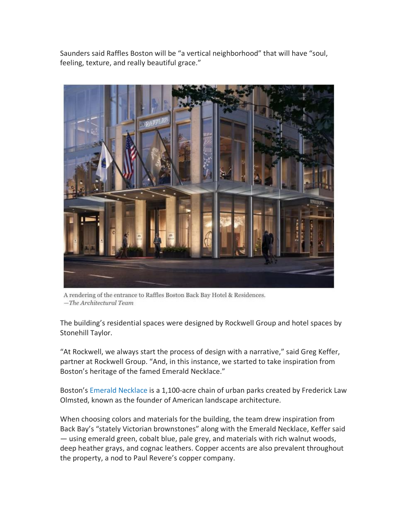Saunders said Raffles Boston will be "a vertical neighborhood" that will have "soul, feeling, texture, and really beautiful grace."



A rendering of the entrance to Raffles Boston Back Bay Hotel & Residences.  $-$ The Architectural Team

The building's residential spaces were designed by Rockwell Group and hotel spaces by Stonehill Taylor.

"At Rockwell, we always start the process of design with a narrative," said Greg Keffer, partner at Rockwell Group. "And, in this instance, we started to take inspiration from Boston's heritage of the famed Emerald Necklace."

Boston's Emerald Necklace is a 1,100-acre chain of urban parks created by Frederick Law Olmsted, known as the founder of American landscape architecture.

When choosing colors and materials for the building, the team drew inspiration from Back Bay's "stately Victorian brownstones" along with the Emerald Necklace, Keffer said — using emerald green, cobalt blue, pale grey, and materials with rich walnut woods, deep heather grays, and cognac leathers. Copper accents are also prevalent throughout the property, a nod to Paul Revere's copper company.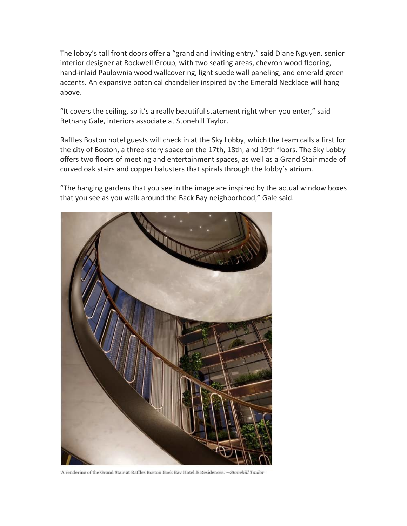The lobby's tall front doors offer a "grand and inviting entry," said Diane Nguyen, senior interior designer at Rockwell Group, with two seating areas, chevron wood flooring, hand-inlaid Paulownia wood wallcovering, light suede wall paneling, and emerald green accents. An expansive botanical chandelier inspired by the Emerald Necklace will hang above.

"It covers the ceiling, so it's a really beautiful statement right when you enter," said Bethany Gale, interiors associate at Stonehill Taylor.

Raffles Boston hotel guests will check in at the Sky Lobby, which the team calls a first for the city of Boston, a three-story space on the 17th, 18th, and 19th floors. The Sky Lobby offers two floors of meeting and entertainment spaces, as well as a Grand Stair made of curved oak stairs and copper balusters that spirals through the lobby's atrium.

"The hanging gardens that you see in the image are inspired by the actual window boxes that you see as you walk around the Back Bay neighborhood," Gale said.



A rendering of the Grand Stair at Raffles Boston Back Bay Hotel & Residences. -- Stonehill Taylor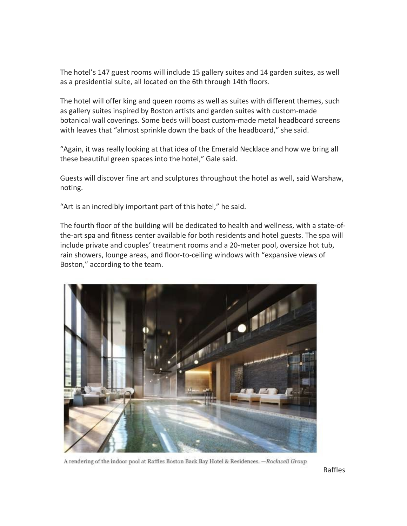The hotel's 147 guest rooms will include 15 gallery suites and 14 garden suites, as well as a presidential suite, all located on the 6th through 14th floors.

The hotel will offer king and queen rooms as well as suites with different themes, such as gallery suites inspired by Boston artists and garden suites with custom-made botanical wall coverings. Some beds will boast custom-made metal headboard screens with leaves that "almost sprinkle down the back of the headboard," she said.

"Again, it was really looking at that idea of the Emerald Necklace and how we bring all these beautiful green spaces into the hotel," Gale said.

Guests will discover fine art and sculptures throughout the hotel as well, said Warshaw, noting.

"Art is an incredibly important part of this hotel," he said.

The fourth floor of the building will be dedicated to health and wellness, with a state-ofthe-art spa and fitness center available for both residents and hotel guests. The spa will include private and couples' treatment rooms and a 20-meter pool, oversize hot tub, rain showers, lounge areas, and floor-to-ceiling windows with "expansive views of Boston," according to the team.



A rendering of the indoor pool at Raffles Boston Back Bay Hotel & Residences. - Rockwell Group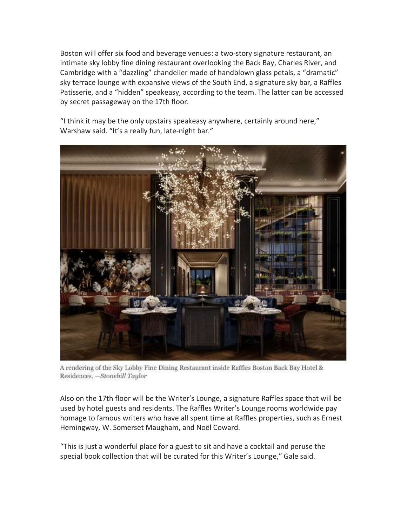Boston will offer six food and beverage venues: a two-story signature restaurant, an intimate sky lobby fine dining restaurant overlooking the Back Bay, Charles River, and Cambridge with a "dazzling" chandelier made of handblown glass petals, a "dramatic" sky terrace lounge with expansive views of the South End, a signature sky bar, a Raffles Patisserie, and a "hidden" speakeasy, according to the team. The latter can be accessed by secret passageway on the 17th floor.

"I think it may be the only upstairs speakeasy anywhere, certainly around here," Warshaw said. "It's a really fun, late-night bar."



A rendering of the Sky Lobby Fine Dining Restaurant inside Raffles Boston Back Bay Hotel & Residences. - Stonehill Taylor

Also on the 17th floor will be the Writer's Lounge, a signature Raffles space that will be used by hotel guests and residents. The Raffles Writer's Lounge rooms worldwide pay homage to famous writers who have all spent time at Raffles properties, such as Ernest Hemingway, W. Somerset Maugham, and Noël Coward.

"This is just a wonderful place for a guest to sit and have a cocktail and peruse the special book collection that will be curated for this Writer's Lounge," Gale said.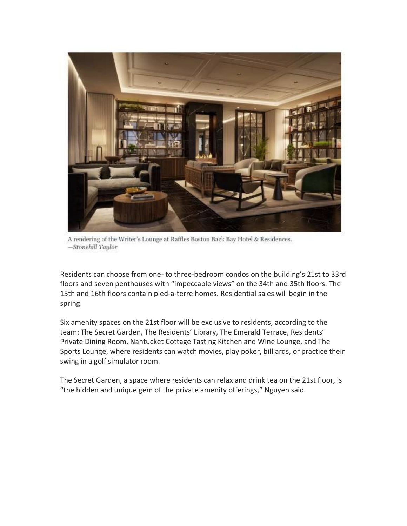

A rendering of the Writer's Lounge at Raffles Boston Back Bay Hotel & Residences. -Stonehill Taylor

Residents can choose from one- to three-bedroom condos on the building's 21st to 33rd floors and seven penthouses with "impeccable views" on the 34th and 35th floors. The 15th and 16th floors contain pied-a-terre homes. Residential sales will begin in the spring.

Six amenity spaces on the 21st floor will be exclusive to residents, according to the team: The Secret Garden, The Residents' Library, The Emerald Terrace, Residents' Private Dining Room, Nantucket Cottage Tasting Kitchen and Wine Lounge, and The Sports Lounge, where residents can watch movies, play poker, billiards, or practice their swing in a golf simulator room.

The Secret Garden, a space where residents can relax and drink tea on the 21st floor, is "the hidden and unique gem of the private amenity offerings," Nguyen said.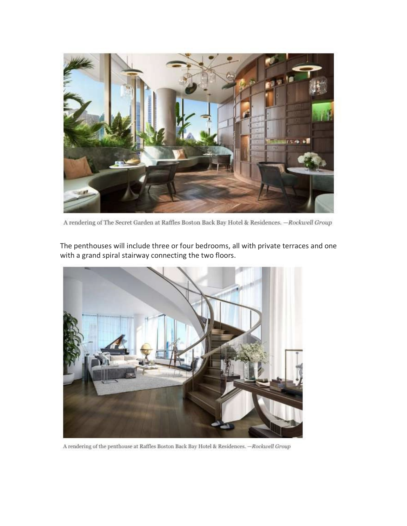

A rendering of The Secret Garden at Raffles Boston Back Bay Hotel & Residences. - Rockwell Group



The penthouses will include three or four bedrooms, all with private terraces and one with a grand spiral stairway connecting the two floors.

A rendering of the penthouse at Raffles Boston Back Bay Hotel & Residences. -- Rockwell Group